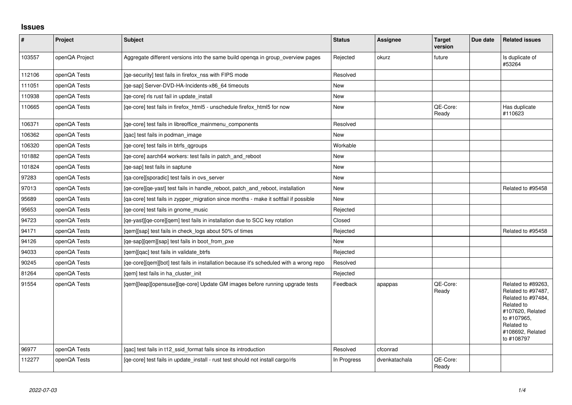## **Issues**

| $\vert$ # | Project        | <b>Subject</b>                                                                          | <b>Status</b> | <b>Assignee</b> | <b>Target</b><br>version | Due date | <b>Related issues</b>                                                                                                                                           |
|-----------|----------------|-----------------------------------------------------------------------------------------|---------------|-----------------|--------------------------|----------|-----------------------------------------------------------------------------------------------------------------------------------------------------------------|
| 103557    | openQA Project | Aggregate different versions into the same build openga in group_overview pages         | Rejected      | okurz           | future                   |          | Is duplicate of<br>#53264                                                                                                                                       |
| 112106    | openQA Tests   | [qe-security] test fails in firefox_nss with FIPS mode                                  | Resolved      |                 |                          |          |                                                                                                                                                                 |
| 111051    | openQA Tests   | [qe-sap] Server-DVD-HA-Incidents-x86_64 timeouts                                        | New           |                 |                          |          |                                                                                                                                                                 |
| 110938    | openQA Tests   | [ge-core] rls rust fail in update install                                               | <b>New</b>    |                 |                          |          |                                                                                                                                                                 |
| 110665    | openQA Tests   | [qe-core] test fails in firefox_html5 - unschedule firefox_html5 for now                | New           |                 | QE-Core:<br>Ready        |          | Has duplicate<br>#110623                                                                                                                                        |
| 106371    | openQA Tests   | [ge-core] test fails in libreoffice mainmenu components                                 | Resolved      |                 |                          |          |                                                                                                                                                                 |
| 106362    | openQA Tests   | [gac] test fails in podman image                                                        | New           |                 |                          |          |                                                                                                                                                                 |
| 106320    | openQA Tests   | [qe-core] test fails in btrfs_qgroups                                                   | Workable      |                 |                          |          |                                                                                                                                                                 |
| 101882    | openQA Tests   | [qe-core] aarch64 workers: test fails in patch_and_reboot                               | New           |                 |                          |          |                                                                                                                                                                 |
| 101824    | openQA Tests   | [ge-sap] test fails in saptune                                                          | <b>New</b>    |                 |                          |          |                                                                                                                                                                 |
| 97283     | openQA Tests   | [qa-core][sporadic] test fails in ovs server                                            | <b>New</b>    |                 |                          |          |                                                                                                                                                                 |
| 97013     | openQA Tests   | [qe-core][qe-yast] test fails in handle_reboot, patch_and_reboot, installation          | New           |                 |                          |          | Related to #95458                                                                                                                                               |
| 95689     | openQA Tests   | [ga-core] test fails in zypper migration since months - make it softfail if possible    | New           |                 |                          |          |                                                                                                                                                                 |
| 95653     | openQA Tests   | [ge-core] test fails in gnome music                                                     | Rejected      |                 |                          |          |                                                                                                                                                                 |
| 94723     | openQA Tests   | [qe-yast][qe-core][qem] test fails in installation due to SCC key rotation              | Closed        |                 |                          |          |                                                                                                                                                                 |
| 94171     | openQA Tests   | [qem][sap] test fails in check_logs about 50% of times                                  | Rejected      |                 |                          |          | Related to #95458                                                                                                                                               |
| 94126     | openQA Tests   | [ge-sap][gem][sap] test fails in boot from pxe                                          | New           |                 |                          |          |                                                                                                                                                                 |
| 94033     | openQA Tests   | [qem][qac] test fails in validate_btrfs                                                 | Rejected      |                 |                          |          |                                                                                                                                                                 |
| 90245     | openQA Tests   | [qe-core][qem][bot] test fails in installation because it's scheduled with a wrong repo | Resolved      |                 |                          |          |                                                                                                                                                                 |
| 81264     | openQA Tests   | [qem] test fails in ha_cluster_init                                                     | Rejected      |                 |                          |          |                                                                                                                                                                 |
| 91554     | openQA Tests   | [qem][leap][opensuse][qe-core] Update GM images before running upgrade tests            | Feedback      | apappas         | QE-Core:<br>Ready        |          | Related to #89263,<br>Related to #97487,<br>Related to #97484,<br>Related to<br>#107620, Related<br>to #107965.<br>Related to<br>#108692, Related<br>to #108797 |
| 96977     | openQA Tests   | [gac] test fails in t12 ssid format fails since its introduction                        | Resolved      | cfconrad        |                          |          |                                                                                                                                                                 |
| 112277    | openQA Tests   | [qe-core] test fails in update_install - rust test should not install cargo/rls         | In Progress   | dvenkatachala   | QE-Core:<br>Ready        |          |                                                                                                                                                                 |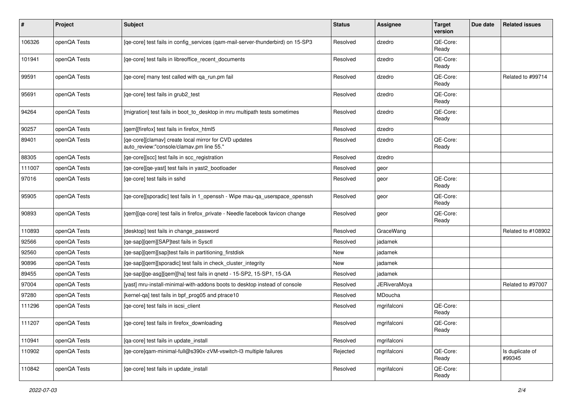| #      | Project      | Subject                                                                                           | <b>Status</b> | Assignee            | <b>Target</b><br>version | Due date | <b>Related issues</b>     |
|--------|--------------|---------------------------------------------------------------------------------------------------|---------------|---------------------|--------------------------|----------|---------------------------|
| 106326 | openQA Tests | [qe-core] test fails in config_services (qam-mail-server-thunderbird) on 15-SP3                   | Resolved      | dzedro              | QE-Core:<br>Ready        |          |                           |
| 101941 | openQA Tests | [qe-core] test fails in libreoffice_recent_documents                                              | Resolved      | dzedro              | QE-Core:<br>Ready        |          |                           |
| 99591  | openQA Tests | [ge-core] many test called with ga run.pm fail                                                    | Resolved      | dzedro              | QE-Core:<br>Ready        |          | Related to #99714         |
| 95691  | openQA Tests | [qe-core] test fails in grub2_test                                                                | Resolved      | dzedro              | QE-Core:<br>Ready        |          |                           |
| 94264  | openQA Tests | [migration] test fails in boot_to_desktop in mru multipath tests sometimes                        | Resolved      | dzedro              | QE-Core:<br>Ready        |          |                           |
| 90257  | openQA Tests | [qem][firefox] test fails in firefox_html5                                                        | Resolved      | dzedro              |                          |          |                           |
| 89401  | openQA Tests | [qe-core][clamav] create local mirror for CVD updates<br>auto_review:"console/clamav.pm line 55." | Resolved      | dzedro              | QE-Core:<br>Ready        |          |                           |
| 88305  | openQA Tests | [qe-core][scc] test fails in scc_registration                                                     | Resolved      | dzedro              |                          |          |                           |
| 111007 | openQA Tests | [qe-core][qe-yast] test fails in yast2_bootloader                                                 | Resolved      | geor                |                          |          |                           |
| 97016  | openQA Tests | [ge-core] test fails in sshd                                                                      | Resolved      | geor                | QE-Core:<br>Ready        |          |                           |
| 95905  | openQA Tests | [qe-core][sporadic] test fails in 1_openssh - Wipe mau-qa_userspace_openssh                       | Resolved      | geor                | QE-Core:<br>Ready        |          |                           |
| 90893  | openQA Tests | [qem][qa-core] test fails in firefox_private - Needle facebook favicon change                     | Resolved      | geor                | QE-Core:<br>Ready        |          |                           |
| 110893 | openQA Tests | [desktop] test fails in change_password                                                           | Resolved      | GraceWang           |                          |          | Related to #108902        |
| 92566  | openQA Tests | [qe-sap][qem][SAP]test fails in Sysctl                                                            | Resolved      | jadamek             |                          |          |                           |
| 92560  | openQA Tests | [qe-sap][qem][sap]test fails in partitioning_firstdisk                                            | New           | jadamek             |                          |          |                           |
| 90896  | openQA Tests | [qe-sap][qem][sporadic] test fails in check_cluster_integrity                                     | New           | jadamek             |                          |          |                           |
| 89455  | openQA Tests | [qe-sap][qe-asg][qem][ha] test fails in qnetd - 15-SP2, 15-SP1, 15-GA                             | Resolved      | jadamek             |                          |          |                           |
| 97004  | openQA Tests | [yast] mru-install-minimal-with-addons boots to desktop instead of console                        | Resolved      | <b>JERiveraMoya</b> |                          |          | Related to #97007         |
| 97280  | openQA Tests | [kernel-qa] test fails in bpf_prog05 and ptrace10                                                 | Resolved      | MDoucha             |                          |          |                           |
| 111296 | openQA Tests | [qe-core] test fails in iscsi_client                                                              | Resolved      | mgrifalconi         | QE-Core:<br>Ready        |          |                           |
| 111207 | openQA Tests | [qe-core] test fails in firefox_downloading                                                       | Resolved      | mgrifalconi         | QE-Core:<br>Ready        |          |                           |
| 110941 | openQA Tests | [qa-core] test fails in update_install                                                            | Resolved      | mgrifalconi         |                          |          |                           |
| 110902 | openQA Tests | [qe-core]gam-minimal-full@s390x-zVM-vswitch-l3 multiple failures                                  | Rejected      | mgrifalconi         | QE-Core:<br>Ready        |          | Is duplicate of<br>#99345 |
| 110842 | openQA Tests | [qe-core] test fails in update_install                                                            | Resolved      | mgrifalconi         | QE-Core:<br>Ready        |          |                           |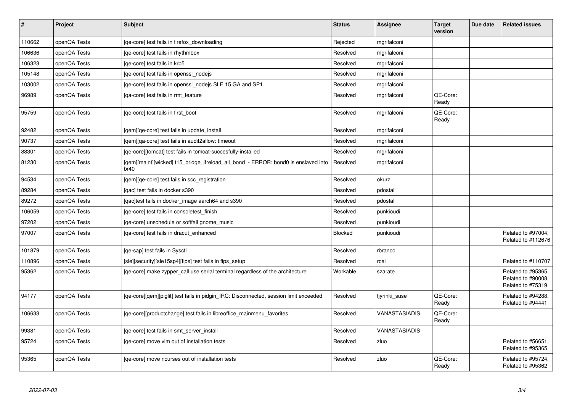| $\vert$ # | Project      | <b>Subject</b>                                                                            | <b>Status</b> | <b>Assignee</b> | <b>Target</b><br>version | Due date | <b>Related issues</b>                                         |
|-----------|--------------|-------------------------------------------------------------------------------------------|---------------|-----------------|--------------------------|----------|---------------------------------------------------------------|
| 110662    | openQA Tests | [qe-core] test fails in firefox_downloading                                               | Rejected      | mgrifalconi     |                          |          |                                                               |
| 106636    | openQA Tests | [qe-core] test fails in rhythmbox                                                         | Resolved      | mgrifalconi     |                          |          |                                                               |
| 106323    | openQA Tests | [ge-core] test fails in krb5                                                              | Resolved      | mgrifalconi     |                          |          |                                                               |
| 105148    | openQA Tests | [qe-core] test fails in openssl_nodejs                                                    | Resolved      | mgrifalconi     |                          |          |                                                               |
| 103002    | openQA Tests | [qe-core] test fails in openssl_nodejs SLE 15 GA and SP1                                  | Resolved      | mgrifalconi     |                          |          |                                                               |
| 96989     | openQA Tests | [ga-core] test fails in rmt feature                                                       | Resolved      | mgrifalconi     | QE-Core:<br>Ready        |          |                                                               |
| 95759     | openQA Tests | [ge-core] test fails in first boot                                                        | Resolved      | mgrifalconi     | QE-Core:<br>Ready        |          |                                                               |
| 92482     | openQA Tests | [gem][ge-core] test fails in update install                                               | Resolved      | mgrifalconi     |                          |          |                                                               |
| 90737     | openQA Tests | [gem][ga-core] test fails in audit2allow: timeout                                         | Resolved      | mgrifalconi     |                          |          |                                                               |
| 88301     | openQA Tests | [ge-core][tomcat] test fails in tomcat-succesfully-installed                              | Resolved      | mgrifalconi     |                          |          |                                                               |
| 81230     | openQA Tests | [gem][maint][wicked] t15_bridge_ifreload_all_bond - ERROR: bond0 is enslaved into<br>br40 | Resolved      | mgrifalconi     |                          |          |                                                               |
| 94534     | openQA Tests | [qem][qe-core] test fails in scc_registration                                             | Resolved      | okurz           |                          |          |                                                               |
| 89284     | openQA Tests | [gac] test fails in docker s390                                                           | Resolved      | pdostal         |                          |          |                                                               |
| 89272     | openQA Tests | [qac]test fails in docker_image aarch64 and s390                                          | Resolved      | pdostal         |                          |          |                                                               |
| 106059    | openQA Tests | [ge-core] test fails in consoletest finish                                                | Resolved      | punkioudi       |                          |          |                                                               |
| 97202     | openQA Tests | [qe-core] unschedule or softfail gnome_music                                              | Resolved      | punkioudi       |                          |          |                                                               |
| 97007     | openQA Tests | [qa-core] test fails in dracut enhanced                                                   | Blocked       | punkioudi       |                          |          | Related to #97004,<br>Related to #112676                      |
| 101879    | openQA Tests | [ge-sap] test fails in Sysctl                                                             | Resolved      | rbranco         |                          |          |                                                               |
| 110896    | openQA Tests | [sle][security][sle15sp4][fips] test fails in fips_setup                                  | Resolved      | rcai            |                          |          | Related to #110707                                            |
| 95362     | openQA Tests | [qe-core] make zypper_call use serial terminal regardless of the architecture             | Workable      | szarate         |                          |          | Related to #95365,<br>Related to #90008,<br>Related to #75319 |
| 94177     | openQA Tests | [qe-core][qem][piglit] test fails in pidgin_IRC: Disconnected, session limit exceeded     | Resolved      | tjyrinki_suse   | QE-Core:<br>Ready        |          | Related to #94288,<br>Related to #94441                       |
| 106633    | openQA Tests | [qe-core][productchange] test fails in libreoffice_mainmenu_favorites                     | Resolved      | VANASTASIADIS   | QE-Core:<br>Ready        |          |                                                               |
| 99381     | openQA Tests | [qe-core] test fails in smt_server_install                                                | Resolved      | VANASTASIADIS   |                          |          |                                                               |
| 95724     | openQA Tests | [ge-core] move vim out of installation tests                                              | Resolved      | zluo            |                          |          | Related to #56651,<br>Related to #95365                       |
| 95365     | openQA Tests | [ge-core] move ncurses out of installation tests                                          | Resolved      | zluo            | QE-Core:<br>Ready        |          | Related to #95724,<br>Related to #95362                       |